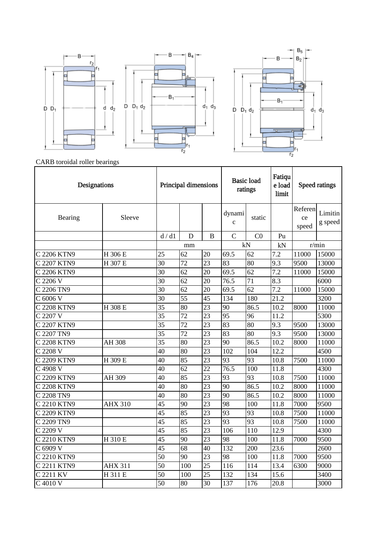



CARB toroidal roller bearings

| Designations |                | Principal dimensions |                 |                 | <b>Basic load</b><br>ratings |                 | Fatiqu<br>e load<br>limit |                        | Speed ratings      |
|--------------|----------------|----------------------|-----------------|-----------------|------------------------------|-----------------|---------------------------|------------------------|--------------------|
| Bearing      | Sleeve         |                      |                 |                 | dynami<br>$\mathbf{c}$       | static          |                           | Referen<br>ce<br>speed | Limitin<br>g speed |
|              |                | d/d1                 | D               | B               | $\mathcal{C}$                | CO              | Pu                        |                        |                    |
|              |                |                      | mm              |                 |                              | kN              | kN                        |                        | r/min              |
| C 2206 KTN9  | H 306 E        | 25                   | 62              | 20              | 69.5                         | 62              | 7.2                       | 11000                  | 15000              |
| C 2207 KTN9  | H 307 E        | 30                   | 72              | 23              | 83                           | 80              | 9.3                       | 9500                   | 13000              |
| C 2206 KTN9  |                | 30                   | 62              | 20              | 69.5                         | 62              | 7.2                       | 11000                  | 15000              |
| C 2206 V     |                | 30                   | 62              | 20              | 76.5                         | 71              | 8.3                       |                        | 6000               |
| C 2206 TN9   |                | 30                   | 62              | 20              | 69.5                         | 62              | 7.2                       | 11000                  | 15000              |
| C 6006 V     |                | 30                   | 55              | 45              | 134                          | 180             | 21.2                      |                        | 3200               |
| C 2208 KTN9  | H 308 E        | 35                   | 80              | 23              | 90                           | 86.5            | 10.2                      | 8000                   | 11000              |
| C 2207 V     |                | $\overline{35}$      | 72              | 23              | 95                           | 96              | 11.2                      |                        | 5300               |
| C 2207 KTN9  |                | 35                   | 72              | 23              | 83                           | 80              | 9.3                       | 9500                   | 13000              |
| C 2207 TN9   |                | 35                   | 72              | 23              | 83                           | 80              | 9.3                       | 9500                   | 13000              |
| C 2208 KTN9  | AH 308         | 35                   | 80              | 23              | 90                           | 86.5            | 10.2                      | 8000                   | 11000              |
| C 2208 V     |                | 40                   | 80              | $\overline{23}$ | 102                          | 104             | 12.2                      |                        | 4500               |
| C 2209 KTN9  | H 309 E        | 40                   | 85              | $\overline{23}$ | 93                           | $\overline{93}$ | 10.8                      | 7500                   | 11000              |
| C 4908 V     |                | 40                   | 62              | $\overline{22}$ | 76.5                         | 100             | 11.8                      |                        | 4300               |
| C 2209 KTN9  | AH 309         | 40                   | 85              | $\overline{23}$ | 93                           | 93              | 10.8                      | 7500                   | 11000              |
| C 2208 KTN9  |                | 40                   | 80              | $\overline{23}$ | $\overline{90}$              | 86.5            | 10.2                      | 8000                   | 11000              |
| C 2208 TN9   |                | 40                   | 80              | $\overline{23}$ | 90                           | 86.5            | 10.2                      | 8000                   | 11000              |
| C 2210 KTN9  | <b>AHX 310</b> | 45                   | 90              | 23              | 98                           | 100             | 11.8                      | 7000                   | 9500               |
| C 2209 KTN9  |                | 45                   | 85              | 23              | 93                           | 93              | 10.8                      | 7500                   | 11000              |
| C 2209 TN9   |                | 45                   | 85              | $\overline{23}$ | 93                           | 93              | 10.8                      | 7500                   | 11000              |
| C 2209 V     |                | $\overline{45}$      | $\overline{85}$ | $\overline{23}$ | 106                          | 110             | 12.9                      |                        | 4300               |
| C 2210 KTN9  | H 310 E        | $\overline{45}$      | 90              | $\overline{23}$ | 98                           | 100             | 11.8                      | 7000                   | 9500               |
| C 6909 V     |                | $\overline{45}$      | 68              | 40              | 132                          | 200             | 23.6                      |                        | 2600               |
| C 2210 KTN9  |                | $\overline{50}$      | 90              | $\overline{23}$ | $\overline{98}$              | 100             | 11.8                      | 7000                   | 9500               |
| C 2211 KTN9  | <b>AHX 311</b> | $\overline{50}$      | 100             | $\overline{25}$ | $\overline{116}$             | 114             | 13.4                      | 6300                   | 9000               |
| C 2211 KV    | H 311 E        | 50                   | 100             | 25              | 132                          | 134             | 15.6                      |                        | 3400               |
| C 4010 V     |                | 50                   | 80              | $\overline{30}$ | 137                          | 176             | 20.8                      |                        | 3000               |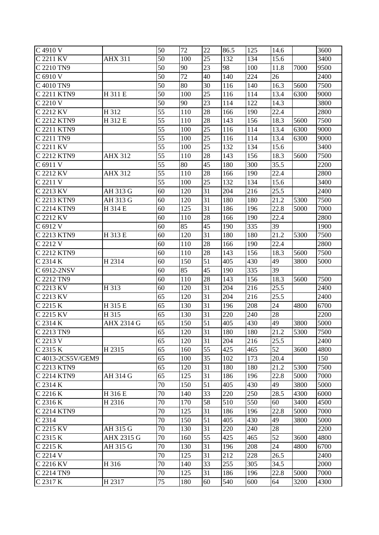| C 4910 V          |                   | 50              | 72  | 22              | 86.5 | 125 | 14.6 |      | 3600 |
|-------------------|-------------------|-----------------|-----|-----------------|------|-----|------|------|------|
| C 2211 KV         | <b>AHX 311</b>    | 50              | 100 | 25              | 132  | 134 | 15.6 |      | 3400 |
| C 2210 TN9        |                   | 50              | 90  | 23              | 98   | 100 | 11.8 | 7000 | 9500 |
| C 6910 V          |                   | 50              | 72  | 40              | 140  | 224 | 26   |      | 2400 |
| C 4010 TN9        |                   | 50              | 80  | 30              | 116  | 140 | 16.3 | 5600 | 7500 |
| C 2211 KTN9       | H 311 E           | 50              | 100 | 25              | 116  | 114 | 13.4 | 6300 | 9000 |
| C 2210 V          |                   | 50              | 90  | $\overline{23}$ | 114  | 122 | 14.3 |      | 3800 |
| C 2212 KV         | H 312             | 55              | 110 | 28              | 166  | 190 | 22.4 |      | 2800 |
| C 2212 KTN9       | H 312 E           | 55              | 110 | 28              | 143  | 156 | 18.3 | 5600 | 7500 |
| C 2211 KTN9       |                   | 55              | 100 | 25              | 116  | 114 | 13.4 | 6300 | 9000 |
| C 2211 TN9        |                   | 55              | 100 | 25              | 116  | 114 | 13.4 | 6300 | 9000 |
| C 2211 KV         |                   | 55              | 100 | 25              | 132  | 134 | 15.6 |      | 3400 |
| C 2212 KTN9       | <b>AHX 312</b>    | $\overline{55}$ | 110 | 28              | 143  | 156 | 18.3 | 5600 | 7500 |
| C 6911 V          |                   | 55              | 80  | 45              | 180  | 300 | 35.5 |      | 2200 |
| C 2212 KV         | <b>AHX 312</b>    | 55              | 110 | 28              | 166  | 190 | 22.4 |      | 2800 |
| C 2211 V          |                   | 55              | 100 | 25              | 132  | 134 | 15.6 |      | 3400 |
| C 2213 KV         | AH 313 G          | 60              | 120 | 31              | 204  | 216 | 25.5 |      | 2400 |
| C 2213 KTN9       | AH 313 G          | 60              | 120 | 31              | 180  | 180 | 21.2 | 5300 | 7500 |
| C 2214 KTN9       | H 314 E           | 60              | 125 | 31              | 186  | 196 | 22.8 | 5000 | 7000 |
| C 2212 KV         |                   | 60              | 110 | 28              | 166  | 190 | 22.4 |      | 2800 |
| C 6912 V          |                   | 60              | 85  | 45              | 190  | 335 | 39   |      | 1900 |
| C 2213 KTN9       | H 313 E           | 60              | 120 | 31              | 180  | 180 | 21.2 | 5300 | 7500 |
| C 2212 V          |                   | 60              | 110 | 28              | 166  | 190 | 22.4 |      | 2800 |
| C 2212 KTN9       |                   | 60              | 110 | 28              | 143  | 156 | 18.3 | 5600 | 7500 |
| C 2314 K          | H 2314            | 60              | 150 | 51              | 405  | 430 | 49   | 3800 | 5000 |
| C 6912-2NSV       |                   | 60              | 85  | 45              | 190  | 335 | 39   |      |      |
| C 2212 TN9        |                   | 60              | 110 | 28              | 143  | 156 | 18.3 | 5600 | 7500 |
| C 2213 KV         | H 313             | 60              | 120 | 31              | 204  | 216 | 25.5 |      | 2400 |
| C 2213 KV         |                   | 65              | 120 | 31              | 204  | 216 | 25.5 |      | 2400 |
| C 2215 K          | H 315 E           | 65              | 130 | 31              | 196  | 208 | 24   | 4800 | 6700 |
| C 2215 KV         | H 315             | 65              | 130 | 31              | 220  | 240 | 28   |      | 2200 |
| C 2314 K          | <b>AHX 2314 G</b> | 65              | 150 | 51              | 405  | 430 | 49   | 3800 | 5000 |
| C 2213 TN9        |                   | $\overline{65}$ | 120 | $\overline{31}$ | 180  | 180 | 21.2 | 5300 | 7500 |
| C 2213 V          |                   | 65              | 120 | 31              | 204  | 216 | 25.5 |      | 2400 |
| C 2315 K          | H 2315            | 65              | 160 | 55              | 425  | 465 | 52   | 3600 | 4800 |
| C 4013-2CS5V/GEM9 |                   | 65              | 100 | 35              | 102  | 173 | 20.4 |      | 150  |
| C 2213 KTN9       |                   | 65              | 120 | 31              | 180  | 180 | 21.2 | 5300 | 7500 |
| C 2214 KTN9       | AH 314 G          | 65              | 125 | 31              | 186  | 196 | 22.8 | 5000 | 7000 |
| C 2314 K          |                   | 70              | 150 | 51              | 405  | 430 | 49   | 3800 | 5000 |
| C 2216 K          | H 316 E           | 70              | 140 | 33              | 220  | 250 | 28.5 | 4300 | 6000 |
| C 2316 K          | H 2316            | 70              | 170 | 58              | 510  | 550 | 60   | 3400 | 4500 |
| C 2214 KTN9       |                   | 70              | 125 | 31              | 186  | 196 | 22.8 | 5000 | 7000 |
| C 2314            |                   | 70              | 150 | 51              | 405  | 430 | 49   | 3800 | 5000 |
| C 2215 KV         | AH 315 G          | 70              | 130 | 31              | 220  | 240 | 28   |      | 2200 |
| C 2315 K          | AHX 2315 G        | 70              | 160 | 55              | 425  | 465 | 52   | 3600 | 4800 |
| C 2215 K          | AH 315 G          | 70              | 130 | 31              | 196  | 208 | 24   | 4800 | 6700 |
| C 2214 V          |                   | 70              | 125 | 31              | 212  | 228 | 26.5 |      | 2400 |
| C 2216 KV         | H 316             | 70              | 140 | 33              | 255  | 305 | 34.5 |      | 2000 |
| C 2214 TN9        |                   | 70              | 125 | 31              | 186  | 196 | 22.8 | 5000 | 7000 |
| C 2317 K          | H 2317            | 75              | 180 | 60              | 540  | 600 | 64   | 3200 | 4300 |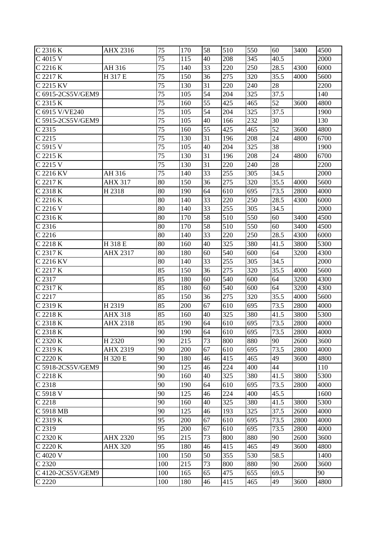| C 2316 K              | AHX 2316        | 75              | 170 | 58              | 510 | 550 | 60   | 3400 | 4500 |
|-----------------------|-----------------|-----------------|-----|-----------------|-----|-----|------|------|------|
| C 4015 V              |                 | 75              | 115 | 40              | 208 | 345 | 40.5 |      | 2000 |
| C 2216 K              | AH 316          | 75              | 140 | 33              | 220 | 250 | 28.5 | 4300 | 6000 |
| C 2217 K              | H 317 E         | $\overline{75}$ | 150 | 36              | 275 | 320 | 35.5 | 4000 | 5600 |
| C 2215 KV             |                 | 75              | 130 | 31              | 220 | 240 | 28   |      | 2200 |
| C 6915-2CS5V/GEM9     |                 | 75              | 105 | 54              | 204 | 325 | 37.5 |      | 140  |
| C 2315 K              |                 | 75              | 160 | $\overline{55}$ | 425 | 465 | 52   | 3600 | 4800 |
| C 6915 V/VE240        |                 | 75              | 105 | 54              | 204 | 325 | 37.5 |      | 1900 |
| C 5915-2CS5V/GEM9     |                 | 75              | 105 | 40              | 166 | 232 | 30   |      | 130  |
| C 2315                |                 | 75              | 160 | 55              | 425 | 465 | 52   | 3600 | 4800 |
| C 2215                |                 | 75              | 130 | 31              | 196 | 208 | 24   | 4800 | 6700 |
| C 5915 V              |                 | 75              | 105 | 40              | 204 | 325 | 38   |      | 1900 |
| C 2215 K              |                 | 75              | 130 | 31              | 196 | 208 | 24   | 4800 | 6700 |
| C 2215 V              |                 | 75              | 130 | 31              | 220 | 240 | 28   |      | 2200 |
| C 2216 KV             | AH 316          | 75              | 140 | 33              | 255 | 305 | 34.5 |      | 2000 |
| C 2217 K              | <b>AHX 317</b>  | 80              | 150 | 36              | 275 | 320 | 35.5 | 4000 | 5600 |
| C 2318 K              | H 2318          | 80              | 190 | 64              | 610 | 695 | 73.5 | 2800 | 4000 |
| C 2216 K              |                 | 80              | 140 | 33              | 220 | 250 | 28.5 | 4300 | 6000 |
| C 2216 V              |                 | 80              | 140 | 33              | 255 | 305 | 34.5 |      | 2000 |
| C 2316 K              |                 | 80              | 170 | 58              | 510 | 550 | 60   | 3400 | 4500 |
| C 2316                |                 | 80              | 170 | 58              | 510 | 550 | 60   | 3400 | 4500 |
| C 2216                |                 | 80              | 140 | 33              | 220 | 250 | 28.5 | 4300 | 6000 |
| C 2218 K              | H 318 E         | 80              | 160 | 40              | 325 | 380 | 41.5 | 3800 | 5300 |
| C 2317 K              | <b>AHX 2317</b> | 80              | 180 | 60              | 540 | 600 | 64   | 3200 | 4300 |
| C 2216 KV             |                 | 80              | 140 | 33              | 255 | 305 | 34.5 |      | 2000 |
| C 2217 K              |                 | 85              | 150 | 36              | 275 | 320 | 35.5 | 4000 | 5600 |
| C 2317                |                 | 85              | 180 | 60              | 540 | 600 | 64   | 3200 | 4300 |
| C 2317 K              |                 | 85              | 180 | 60              | 540 | 600 | 64   | 3200 | 4300 |
| C 2217                |                 | 85              | 150 | 36              | 275 | 320 | 35.5 | 4000 | 5600 |
| C 2319 K              | H 2319          | 85              | 200 | 67              | 610 | 695 | 73.5 | 2800 | 4000 |
| C 2218 K              | <b>AHX 318</b>  | 85              | 160 | 40              | 325 | 380 | 41.5 | 3800 | 5300 |
| C 2318 K              | <b>AHX 2318</b> | 85              | 190 | 64              | 610 | 695 | 73.5 | 2800 | 4000 |
| $C$ 2318 K            |                 | 90              | 190 | 64              | 610 | 695 | 73.5 | 2800 | 4000 |
| C 2320 K              | H 2320          | 90              | 215 | 73              | 800 | 880 | 90   | 2600 | 3600 |
| C 2319 K              | AHX 2319        | 90              | 200 | 67              | 610 | 695 | 73.5 | 2800 | 4000 |
| C 2220 K              | H 320 E         | 90              | 180 | 46              | 415 | 465 | 49   | 3600 | 4800 |
| C 5918-2CS5V/GEM9     |                 | 90              | 125 | 46              | 224 | 400 | 44   |      | 110  |
| C 2218 K              |                 | 90              | 160 | 40              | 325 | 380 | 41.5 | 3800 | 5300 |
| C 2318                |                 | 90              | 190 | 64              | 610 | 695 | 73.5 | 2800 | 4000 |
| C 5918 V              |                 | 90              | 125 | 46              | 224 | 400 | 45.5 |      | 1600 |
| C 2218                |                 | 90              | 160 | 40              | 325 | 380 | 41.5 | 3800 | 5300 |
| C 5918 MB             |                 | 90              | 125 | 46              | 193 | 325 | 37.5 | 2600 | 4000 |
| C 2319 $\overline{K}$ |                 | 95              | 200 | 67              | 610 | 695 | 73.5 | 2800 | 4000 |
| C 2319                |                 | 95              | 200 | 67              | 610 | 695 | 73.5 | 2800 | 4000 |
| C 2320 K              | <b>AHX 2320</b> | 95              | 215 | 73              | 800 | 880 | 90   | 2600 | 3600 |
| C 2220 K              | <b>AHX 320</b>  | 95              | 180 | 46              | 415 | 465 | 49   | 3600 | 4800 |
| C 4020 V              |                 | 100             | 150 | 50              | 355 | 530 | 58.5 |      | 1400 |
| C 2320                |                 | 100             | 215 | 73              | 800 | 880 | 90   | 2600 | 3600 |
| C 4120-2CS5V/GEM9     |                 | 100             | 165 | 65              | 475 | 655 | 69.5 |      | 90   |
| C 2220                |                 | 100             | 180 | 46              | 415 | 465 | 49   | 3600 | 4800 |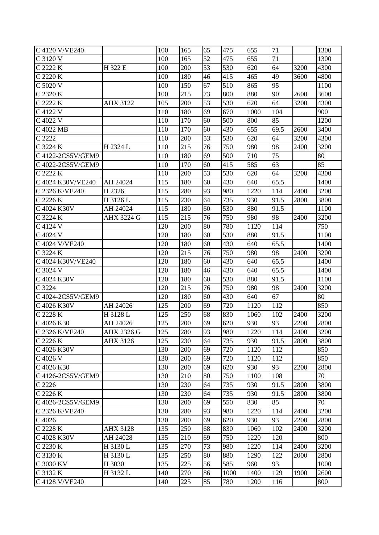| C 4120 V/VE240    |                 | 100 | 165 | 65 | 475  | 655  | 71   |      | 1300 |
|-------------------|-----------------|-----|-----|----|------|------|------|------|------|
| C 3120 V          |                 | 100 | 165 | 52 | 475  | 655  | 71   |      | 1300 |
| C 2222 K          | H 322 E         | 100 | 200 | 53 | 530  | 620  | 64   | 3200 | 4300 |
| C 2220 K          |                 | 100 | 180 | 46 | 415  | 465  | 49   | 3600 | 4800 |
| C 5020 V          |                 | 100 | 150 | 67 | 510  | 865  | 95   |      | 1100 |
| C 2320 K          |                 | 100 | 215 | 73 | 800  | 880  | 90   | 2600 | 3600 |
| C 2222 K          | <b>AHX 3122</b> | 105 | 200 | 53 | 530  | 620  | 64   | 3200 | 4300 |
| C 4122 V          |                 | 110 | 180 | 69 | 670  | 1000 | 104  |      | 900  |
| C 4022 V          |                 | 110 | 170 | 60 | 500  | 800  | 85   |      | 1200 |
| C 4022 MB         |                 | 110 | 170 | 60 | 430  | 655  | 69.5 | 2600 | 3400 |
| C 2222            |                 | 110 | 200 | 53 | 530  | 620  | 64   | 3200 | 4300 |
| C 3224 K          | H 2324 L        | 110 | 215 | 76 | 750  | 980  | 98   | 2400 | 3200 |
| C 4122-2CS5V/GEM9 |                 | 110 | 180 | 69 | 500  | 710  | 75   |      | 80   |
| C 4022-2CS5V/GEM9 |                 | 110 | 170 | 60 | 415  | 585  | 63   |      | 85   |
| C 2222 K          |                 | 110 | 200 | 53 | 530  | 620  | 64   | 3200 | 4300 |
| C 4024 K30V/VE240 | AH 24024        | 115 | 180 | 60 | 430  | 640  | 65.5 |      | 1400 |
| C 2326 K/VE240    | H 2326          | 115 | 280 | 93 | 980  | 1220 | 114  | 2400 | 3200 |
| C 2226 K          | H 3126 L        | 115 | 230 | 64 | 735  | 930  | 91.5 | 2800 | 3800 |
| C 4024 K30V       | AH 24024        | 115 | 180 | 60 | 530  | 880  | 91.5 |      | 1100 |
| C 3224 K          | AHX 3224 G      | 115 | 215 | 76 | 750  | 980  | 98   | 2400 | 3200 |
| C 4124 V          |                 | 120 | 200 | 80 | 780  | 1120 | 114  |      | 750  |
| C 4024 V          |                 | 120 | 180 | 60 | 530  | 880  | 91.5 |      | 1100 |
| C 4024 V/VE240    |                 | 120 | 180 | 60 | 430  | 640  | 65.5 |      | 1400 |
| C 3224 K          |                 | 120 | 215 | 76 | 750  | 980  | 98   | 2400 | 3200 |
| C 4024 K30V/VE240 |                 | 120 | 180 | 60 | 430  | 640  | 65.5 |      | 1400 |
| C 3024 V          |                 | 120 | 180 | 46 | 430  | 640  | 65.5 |      | 1400 |
| C 4024 K30V       |                 | 120 | 180 | 60 | 530  | 880  | 91.5 |      | 1100 |
| C 3224            |                 | 120 | 215 | 76 | 750  | 980  | 98   | 2400 | 3200 |
| C 4024-2CS5V/GEM9 |                 | 120 | 180 | 60 | 430  | 640  | 67   |      | 80   |
| C 4026 K30V       | AH 24026        | 125 | 200 | 69 | 720  | 1120 | 112  |      | 850  |
| C 2228 K          | H 3128 L        | 125 | 250 | 68 | 830  | 1060 | 102  | 2400 | 3200 |
| C 4026 K30        | AH 24026        | 125 | 200 | 69 | 620  | 930  | 93   | 2200 | 2800 |
| C 2326 K/VE240    | AHX 2326 G      | 125 | 280 | 93 | 980  | 1220 | 114  | 2400 | 3200 |
| C 2226 K          | AHX 3126        | 125 | 230 | 64 | 735  | 930  | 91.5 | 2800 | 3800 |
| C 4026 K30V       |                 | 130 | 200 | 69 | 720  | 1120 | 112  |      | 850  |
| C 4026 V          |                 | 130 | 200 | 69 | 720  | 1120 | 112  |      | 850  |
| C 4026 K30        |                 | 130 | 200 | 69 | 620  | 930  | 93   | 2200 | 2800 |
| C 4126-2CS5V/GEM9 |                 | 130 | 210 | 80 | 750  | 1100 | 108  |      | 70   |
| C 2226            |                 | 130 | 230 | 64 | 735  | 930  | 91.5 | 2800 | 3800 |
| C 2226 K          |                 | 130 | 230 | 64 | 735  | 930  | 91.5 | 2800 | 3800 |
| C 4026-2CS5V/GEM9 |                 | 130 | 200 | 69 | 550  | 830  | 85   |      | 70   |
| C 2326 K/VE240    |                 | 130 | 280 | 93 | 980  | 1220 | 114  | 2400 | 3200 |
| C 4026            |                 | 130 | 200 | 69 | 620  | 930  | 93   | 2200 | 2800 |
| C 2228 K          | <b>AHX 3128</b> | 135 | 250 | 68 | 830  | 1060 | 102  | 2400 | 3200 |
| C 4028 K30V       | AH 24028        | 135 | 210 | 69 | 750  | 1220 | 120  |      | 800  |
| C 2230 K          | H 3130 L        | 135 | 270 | 73 | 980  | 1220 | 114  | 2400 | 3200 |
| C 3130 K          | H 3130 L        | 135 | 250 | 80 | 880  | 1290 | 122  | 2000 | 2800 |
| C 3030 KV         | H 3030          | 135 | 225 | 56 | 585  | 960  | 93   |      | 1000 |
| C 3132 K          | H 3132 L        | 140 | 270 | 86 | 1000 | 1400 | 129  | 1900 | 2600 |
| C 4128 V/VE240    |                 | 140 | 225 | 85 | 780  | 1200 | 116  |      | 800  |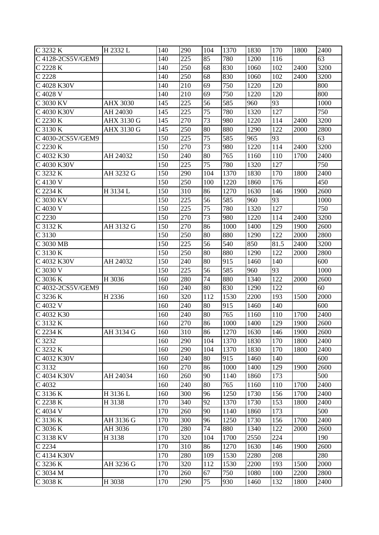| C 3232 K                 | H 2332 L          | 140 | 290 | 104 | 1370 | 1830 | 170  | 1800 | 2400              |
|--------------------------|-------------------|-----|-----|-----|------|------|------|------|-------------------|
| C 4128-2CS5V/GEM9        |                   | 140 | 225 | 85  | 780  | 1200 | 116  |      | 63                |
| $\overline{C}$ 2228 K    |                   | 140 | 250 | 68  | 830  | 1060 | 102  | 2400 | 3200              |
| C 2228                   |                   | 140 | 250 | 68  | 830  | 1060 | 102  | 2400 | $\overline{3}200$ |
| C 4028 K30V              |                   | 140 | 210 | 69  | 750  | 1220 | 120  |      | 800               |
| C 4028 V                 |                   | 140 | 210 | 69  | 750  | 1220 | 120  |      | 800               |
| C 3030 KV                | <b>AHX 3030</b>   | 145 | 225 | 56  | 585  | 960  | 93   |      | 1000              |
| C 4030 K30V              | AH 24030          | 145 | 225 | 75  | 780  | 1320 | 127  |      | 750               |
| C 2230 K                 | <b>AHX 3130 G</b> | 145 | 270 | 73  | 980  | 1220 | 114  | 2400 | 3200              |
| C 3130 K                 | AHX 3130 G        | 145 | 250 | 80  | 880  | 1290 | 122  | 2000 | 2800              |
| C 4030-2CS5V/GEM9        |                   | 150 | 225 | 75  | 585  | 965  | 93   |      | 63                |
| C 2230 K                 |                   | 150 | 270 | 73  | 980  | 1220 | 114  | 2400 | 3200              |
| C 4032 K30               | AH 24032          | 150 | 240 | 80  | 765  | 1160 | 110  | 1700 | 2400              |
| C 4030 K30V              |                   | 150 | 225 | 75  | 780  | 1320 | 127  |      | 750               |
| C 3232 K                 | AH 3232 G         | 150 | 290 | 104 | 1370 | 1830 | 170  | 1800 | 2400              |
| C 4130 V                 |                   | 150 | 250 | 100 | 1220 | 1860 | 176  |      | 450               |
| C 2234 K                 | H 3134 L          | 150 | 310 | 86  | 1270 | 1630 | 146  | 1900 | 2600              |
| C 3030 KV                |                   | 150 | 225 | 56  | 585  | 960  | 93   |      | 1000              |
| C 4030 V                 |                   | 150 | 225 | 75  | 780  | 1320 | 127  |      | 750               |
| C 2230                   |                   | 150 | 270 | 73  | 980  | 1220 | 114  | 2400 | 3200              |
| C 3132 K                 | AH 3132 G         | 150 | 270 | 86  | 1000 | 1400 | 129  | 1900 | 2600              |
| C 3130                   |                   | 150 | 250 | 80  | 880  | 1290 | 122  | 2000 | 2800              |
| C 3030 MB                |                   | 150 | 225 | 56  | 540  | 850  | 81.5 | 2400 | 3200              |
| C 3130 K                 |                   | 150 | 250 | 80  | 880  | 1290 | 122  | 2000 | 2800              |
| C 4032 K30V              | AH 24032          | 150 | 240 | 80  | 915  | 1460 | 140  |      | 600               |
| C 3030 V                 |                   | 150 | 225 | 56  | 585  | 960  | 93   |      | 1000              |
| C 3036 K                 | H 3036            | 160 | 280 | 74  | 880  | 1340 | 122  | 2000 | 2600              |
| C 4032-2CS5V/GEM9        |                   | 160 | 240 | 80  | 830  | 1290 | 122  |      | 60                |
| C 3236 K                 | H 2336            | 160 | 320 | 112 | 1530 | 2200 | 193  | 1500 | 2000              |
| C 4032 V                 |                   | 160 | 240 | 80  | 915  | 1460 | 140  |      | 600               |
| C 4032 K30               |                   | 160 | 240 | 80  | 765  | 1160 | 110  | 1700 | 2400              |
| C 3132 K                 |                   | 160 | 270 | 86  | 1000 | 1400 | 129  | 1900 | 2600              |
| $\overline{C2234K}$      | AH 3134 G         | 160 | 310 | 86  | 1270 | 1630 | 146  | 1900 | 2600              |
| C 3232                   |                   | 160 | 290 | 104 | 1370 | 1830 | 170  | 1800 | 2400              |
| C 3232 K                 |                   | 160 | 290 | 104 | 1370 | 1830 | 170  | 1800 | 2400              |
| C 4032 K30V              |                   | 160 | 240 | 80  | 915  | 1460 | 140  |      | 600               |
| C 3132                   |                   | 160 | 270 | 86  | 1000 | 1400 | 129  | 1900 | 2600              |
| $\overline{C}$ 4034 K30V | AH 24034          | 160 | 260 | 90  | 1140 | 1860 | 173  |      | 500               |
| C 4032                   |                   | 160 | 240 | 80  | 765  | 1160 | 110  | 1700 | 2400              |
| C 3136 K                 | H 3136 L          | 160 | 300 | 96  | 1250 | 1730 | 156  | 1700 | 2400              |
| C 2238 K                 | H 3138            | 170 | 340 | 92  | 1370 | 1730 | 153  | 1800 | 2400              |
| $C$ 4034 V               |                   | 170 | 260 | 90  | 1140 | 1860 | 173  |      | 500               |
| C 3136 K                 | AH 3136 G         | 170 | 300 | 96  | 1250 | 1730 | 156  | 1700 | 2400              |
| C 3036 K                 | AH 3036           | 170 | 280 | 74  | 880  | 1340 | 122  | 2000 | 2600              |
| C 3138 KV                | H 3138            | 170 | 320 | 104 | 1700 | 2550 | 224  |      | 190               |
| C 2234                   |                   | 170 | 310 | 86  | 1270 | 1630 | 146  | 1900 | 2600              |
| C 4134 K30V              |                   | 170 | 280 | 109 | 1530 | 2280 | 208  |      | 280               |
| C 3236 K                 | AH 3236 G         | 170 | 320 | 112 | 1530 | 2200 | 193  | 1500 | 2000              |
| C 3034 M                 |                   | 170 | 260 | 67  | 750  | 1080 | 100  | 2200 | 2800              |
| C 3038 K                 | H 3038            | 170 | 290 | 75  | 930  | 1460 | 132  | 1800 | 2400              |
|                          |                   |     |     |     |      |      |      |      |                   |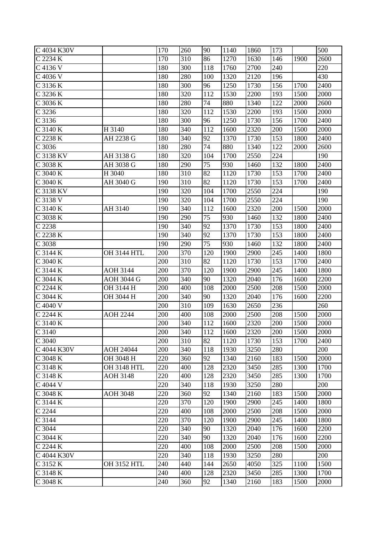| C 4034 K30V         |                    | 170 | 260 | 90  | 1140 | 1860 | 173 |      | 500  |
|---------------------|--------------------|-----|-----|-----|------|------|-----|------|------|
| C 2234 K            |                    | 170 | 310 | 86  | 1270 | 1630 | 146 | 1900 | 2600 |
| C 4136 V            |                    | 180 | 300 | 118 | 1760 | 2700 | 240 |      | 220  |
| C 4036 V            |                    | 180 | 280 | 100 | 1320 | 2120 | 196 |      | 430  |
| C 3136 K            |                    | 180 | 300 | 96  | 1250 | 1730 | 156 | 1700 | 2400 |
| C 3236 K            |                    | 180 | 320 | 112 | 1530 | 2200 | 193 | 1500 | 2000 |
| C 3036 K            |                    | 180 | 280 | 74  | 880  | 1340 | 122 | 2000 | 2600 |
| C 3236              |                    | 180 | 320 | 112 | 1530 | 2200 | 193 | 1500 | 2000 |
| C 3136              |                    | 180 | 300 | 96  | 1250 | 1730 | 156 | 1700 | 2400 |
| C 3140 K            | H 3140             | 180 | 340 | 112 | 1600 | 2320 | 200 | 1500 | 2000 |
| C 2238 K            | AH 2238 G          | 180 | 340 | 92  | 1370 | 1730 | 153 | 1800 | 2400 |
| C 3036              |                    | 180 | 280 | 74  | 880  | 1340 | 122 | 2000 | 2600 |
| C 3138 KV           | AH 3138 G          | 180 | 320 | 104 | 1700 | 2550 | 224 |      | 190  |
| C 3038 K            | AH 3038 G          | 180 | 290 | 75  | 930  | 1460 | 132 | 1800 | 2400 |
| C 3040 K            | H 3040             | 180 | 310 | 82  | 1120 | 1730 | 153 | 1700 | 2400 |
| C 3040 K            | AH 3040 G          | 190 | 310 | 82  | 1120 | 1730 | 153 | 1700 | 2400 |
| C 3138 KV           |                    | 190 | 320 | 104 | 1700 | 2550 | 224 |      | 190  |
| C 3138 V            |                    | 190 | 320 | 104 | 1700 | 2550 | 224 |      | 190  |
| C 3140 K            | AH 3140            | 190 | 340 | 112 | 1600 | 2320 | 200 | 1500 | 2000 |
| C 3038 K            |                    | 190 | 290 | 75  | 930  | 1460 | 132 | 1800 | 2400 |
| C 2238              |                    | 190 | 340 | 92  | 1370 | 1730 | 153 | 1800 | 2400 |
| C 2238 K            |                    | 190 | 340 | 92  | 1370 | 1730 | 153 | 1800 | 2400 |
| C 3038              |                    | 190 | 290 | 75  | 930  | 1460 | 132 | 1800 | 2400 |
| C 3144 K            | <b>OH 3144 HTL</b> | 200 | 370 | 120 | 1900 | 2900 | 245 | 1400 | 1800 |
| C 3040 K            |                    | 200 | 310 | 82  | 1120 | 1730 | 153 | 1700 | 2400 |
| C 3144 K            | <b>AOH 3144</b>    | 200 | 370 | 120 | 1900 | 2900 | 245 | 1400 | 1800 |
| C 3044 K            | <b>AOH 3044 G</b>  | 200 | 340 | 90  | 1320 | 2040 | 176 | 1600 | 2200 |
| C 2244 K            | OH 3144 H          | 200 | 400 | 108 | 2000 | 2500 | 208 | 1500 | 2000 |
| C 3044 K            | OH 3044 H          | 200 | 340 | 90  | 1320 | 2040 | 176 | 1600 | 2200 |
| C 4040 V            |                    | 200 | 310 | 109 | 1630 | 2650 | 236 |      | 260  |
| C 2244 K            | AOH 2244           | 200 | 400 | 108 | 2000 | 2500 | 208 | 1500 | 2000 |
| C 3140 K            |                    | 200 | 340 | 112 | 1600 | 2320 | 200 | 1500 | 2000 |
| C 3140              |                    | 200 | 340 | 112 | 1600 | 2320 | 200 | 1500 | 2000 |
| C 3040              |                    | 200 | 310 | 82  | 1120 | 1730 | 153 | 1700 | 2400 |
| C 4044 K30V         | <b>AOH 24044</b>   | 200 | 340 | 118 | 1930 | 3250 | 280 |      | 200  |
| C 3048 K            | OH 3048 H          | 220 | 360 | 92  | 1340 | 2160 | 183 | 1500 | 2000 |
| C 3148 K            | <b>OH 3148 HTL</b> | 220 | 400 | 128 | 2320 | 3450 | 285 | 1300 | 1700 |
| C 3148 K            | <b>AOH 3148</b>    | 220 | 400 | 128 | 2320 | 3450 | 285 | 1300 | 1700 |
| C 4044 V            |                    | 220 | 340 | 118 | 1930 | 3250 | 280 |      | 200  |
| C 3048 K            | <b>AOH 3048</b>    | 220 | 360 | 92  | 1340 | 2160 | 183 | 1500 | 2000 |
| C 3144 K            |                    | 220 | 370 | 120 | 1900 | 2900 | 245 | 1400 | 1800 |
| $\overline{C}$ 2244 |                    | 220 | 400 | 108 | 2000 | 2500 | 208 | 1500 | 2000 |
| C 3144              |                    | 220 | 370 | 120 | 1900 | 2900 | 245 | 1400 | 1800 |
| C 3044              |                    | 220 | 340 | 90  | 1320 | 2040 | 176 | 1600 | 2200 |
| C 3044 K            |                    | 220 | 340 | 90  | 1320 | 2040 | 176 | 1600 | 2200 |
| C 2244 K            |                    | 220 | 400 | 108 | 2000 | 2500 | 208 | 1500 | 2000 |
| C 4044 K30V         |                    | 220 | 340 | 118 | 1930 | 3250 | 280 |      | 200  |
| C 3152 K            | <b>OH 3152 HTL</b> | 240 | 440 | 144 | 2650 | 4050 | 325 | 1100 | 1500 |
| C 3148 K            |                    | 240 | 400 | 128 | 2320 | 3450 | 285 | 1300 | 1700 |
| C 3048 K            |                    | 240 | 360 | 92  | 1340 | 2160 | 183 | 1500 | 2000 |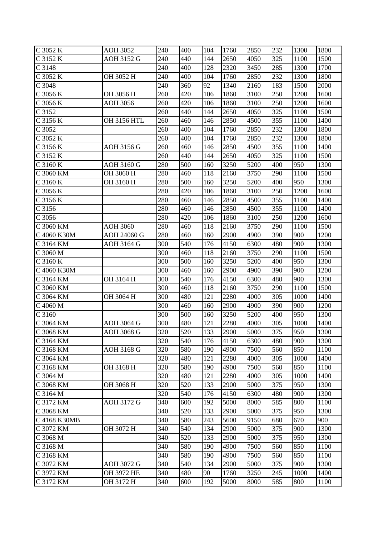| C 3052 K     | <b>AOH 3052</b>    | 240 | 400 | 104 | 1760 | 2850              | 232 | 1300 | 1800 |
|--------------|--------------------|-----|-----|-----|------|-------------------|-----|------|------|
| C 3152 K     | AOH 3152 G         | 240 | 440 | 144 | 2650 | 4050              | 325 | 1100 | 1500 |
| C 3148       |                    | 240 | 400 | 128 | 2320 | 3450              | 285 | 1300 | 1700 |
| C 3052 K     | OH 3052 H          | 240 | 400 | 104 | 1760 | 2850              | 232 | 1300 | 1800 |
| C 3048       |                    | 240 | 360 | 92  | 1340 | 2160              | 183 | 1500 | 2000 |
| C 3056 K     | OH 3056 H          | 260 | 420 | 106 | 1860 | 3100              | 250 | 1200 | 1600 |
| C 3056 K     | <b>AOH 3056</b>    | 260 | 420 | 106 | 1860 | 3100              | 250 | 1200 | 1600 |
| C 3152       |                    | 260 | 440 | 144 | 2650 | 4050              | 325 | 1100 | 1500 |
| C 3156 K     | <b>OH 3156 HTL</b> | 260 | 460 | 146 | 2850 | 4500              | 355 | 1100 | 1400 |
| C 3052       |                    | 260 | 400 | 104 | 1760 | 2850              | 232 | 1300 | 1800 |
| C 3052 K     |                    | 260 | 400 | 104 | 1760 | 2850              | 232 | 1300 | 1800 |
| C 3156 K     | AOH 3156 G         | 260 | 460 | 146 | 2850 | 4500              | 355 | 1100 | 1400 |
| C 3152 K     |                    | 260 | 440 | 144 | 2650 | 4050              | 325 | 1100 | 1500 |
| C 3160 K     | AOH 3160 G         | 280 | 500 | 160 | 3250 | 5200              | 400 | 950  | 1300 |
| C 3060 KM    | OH 3060 H          | 280 | 460 | 118 | 2160 | 3750              | 290 | 1100 | 1500 |
| C 3160 K     | OH 3160 H          | 280 | 500 | 160 | 3250 | 5200              | 400 | 950  | 1300 |
| C 3056 K     |                    | 280 | 420 | 106 | 1860 | 3100              | 250 | 1200 | 1600 |
| C 3156 K     |                    | 280 | 460 | 146 | 2850 | 4500              | 355 | 1100 | 1400 |
| C 3156       |                    | 280 | 460 | 146 | 2850 | 4500              | 355 | 1100 | 1400 |
| C 3056       |                    | 280 | 420 | 106 | 1860 | 3100              | 250 | 1200 | 1600 |
| C 3060 KM    | <b>AOH 3060</b>    | 280 | 460 | 118 | 2160 | 3750              | 290 | 1100 | 1500 |
| C 4060 K30M  | AOH 24060 G        | 280 | 460 | 160 | 2900 | 4900              | 390 | 900  | 1200 |
| C 3164 KM    | AOH 3164 G         | 300 | 540 | 176 | 4150 | 6300              | 480 | 900  | 1300 |
| C 3060 M     |                    | 300 | 460 | 118 | 2160 | 3750              | 290 | 1100 | 1500 |
| C 3160 K     |                    | 300 | 500 | 160 | 3250 | 5200              | 400 | 950  | 1300 |
| C 4060 K30M  |                    | 300 | 460 | 160 | 2900 | 4900              | 390 | 900  | 1200 |
| C 3164 KM    | OH 3164 H          | 300 | 540 | 176 | 4150 | 6300              | 480 | 900  | 1300 |
| C 3060 KM    |                    | 300 | 460 | 118 | 2160 | 3750              | 290 | 1100 | 1500 |
| C 3064 KM    | OH 3064 H          | 300 | 480 | 121 | 2280 | 4000              | 305 | 1000 | 1400 |
| C 4060 M     |                    | 300 | 460 | 160 | 2900 | 4900              | 390 | 900  | 1200 |
| C 3160       |                    | 300 | 500 | 160 | 3250 | 5200              | 400 | 950  | 1300 |
| C 3064 KM    | <b>AOH 3064 G</b>  | 300 | 480 | 121 | 2280 | 4000              | 305 | 1000 | 1400 |
| C 3068 KM    | AOH 3068 G         | 320 | 520 | 133 | 2900 | $\overline{5000}$ | 375 | 950  | 1300 |
| C 3164 KM    |                    | 320 | 540 | 176 | 4150 | 6300              | 480 | 900  | 1300 |
| C 3168 KM    | AOH 3168 G         | 320 | 580 | 190 | 4900 | 7500              | 560 | 850  | 1100 |
| C 3064 KM    |                    | 320 | 480 | 121 | 2280 | 4000              | 305 | 1000 | 1400 |
| C 3168 KM    | OH 3168 H          | 320 | 580 | 190 | 4900 | 7500              | 560 | 850  | 1100 |
| C 3064 M     |                    | 320 | 480 | 121 | 2280 | 4000              | 305 | 1000 | 1400 |
| C 3068 KM    | OH 3068 H          | 320 | 520 | 133 | 2900 | 5000              | 375 | 950  | 1300 |
| C 3164 M     |                    | 320 | 540 | 176 | 4150 | 6300              | 480 | 900  | 1300 |
| C 3172 KM    | AOH 3172 G         | 340 | 600 | 192 | 5000 | 8000              | 585 | 800  | 1100 |
| C 3068 KM    |                    | 340 | 520 | 133 | 2900 | 5000              | 375 | 950  | 1300 |
| C 4168 K30MB |                    | 340 | 580 | 243 | 5600 | 9150              | 680 | 670  | 900  |
| C 3072 KM    | OH 3072 H          | 340 | 540 | 134 | 2900 | 5000              | 375 | 900  | 1300 |
| C 3068 M     |                    | 340 | 520 | 133 | 2900 | 5000              | 375 | 950  | 1300 |
| C 3168 M     |                    | 340 | 580 | 190 | 4900 | 7500              | 560 | 850  | 1100 |
| C 3168 KM    |                    | 340 | 580 | 190 | 4900 | 7500              | 560 | 850  | 1100 |
| C 3072 KM    | AOH 3072 G         | 340 | 540 | 134 | 2900 | 5000              | 375 | 900  | 1300 |
| C 3972 KM    | OH 3972 HE         | 340 | 480 | 90  | 1760 | 3250              | 245 | 1000 | 1400 |
| C 3172 KM    | OH 3172 H          | 340 | 600 | 192 | 5000 | 8000              | 585 | 800  | 1100 |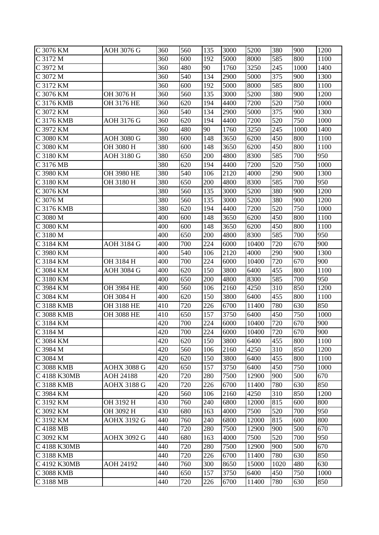| C 3076 KM         | AOH 3076 G         | 360 | 560 | 135 | 3000 | 5200  | 380  | 900  | 1200 |
|-------------------|--------------------|-----|-----|-----|------|-------|------|------|------|
| C 3172 M          |                    | 360 | 600 | 192 | 5000 | 8000  | 585  | 800  | 1100 |
| C 3972 M          |                    | 360 | 480 | 90  | 1760 | 3250  | 245  | 1000 | 1400 |
| C 3072 M          |                    | 360 | 540 | 134 | 2900 | 5000  | 375  | 900  | 1300 |
| C 3172 KM         |                    | 360 | 600 | 192 | 5000 | 8000  | 585  | 800  | 1100 |
| C 3076 KM         | OH 3076 H          | 360 | 560 | 135 | 3000 | 5200  | 380  | 900  | 1200 |
| $C$ 3176 KMB      | OH 3176 HE         | 360 | 620 | 194 | 4400 | 7200  | 520  | 750  | 1000 |
| C 3072 KM         |                    | 360 | 540 | 134 | 2900 | 5000  | 375  | 900  | 1300 |
| C 3176 KMB        | AOH 3176 G         | 360 | 620 | 194 | 4400 | 7200  | 520  | 750  | 1000 |
| C 3972 KM         |                    | 360 | 480 | 90  | 1760 | 3250  | 245  | 1000 | 1400 |
| C 3080 KM         | <b>AOH 3080 G</b>  | 380 | 600 | 148 | 3650 | 6200  | 450  | 800  | 1100 |
| C 3080 KM         | OH 3080 H          | 380 | 600 | 148 | 3650 | 6200  | 450  | 800  | 1100 |
| $C$ 3180 KM       | <b>AOH 3180 G</b>  | 380 | 650 | 200 | 4800 | 8300  | 585  | 700  | 950  |
| C 3176 MB         |                    | 380 | 620 | 194 | 4400 | 7200  | 520  | 750  | 1000 |
| C 3980 KM         | OH 3980 HE         | 380 | 540 | 106 | 2120 | 4000  | 290  | 900  | 1300 |
| C 3180 KM         | OH 3180 H          | 380 | 650 | 200 | 4800 | 8300  | 585  | 700  | 950  |
| C 3076 KM         |                    | 380 | 560 | 135 | 3000 | 5200  | 380  | 900  | 1200 |
| C 3076 M          |                    | 380 | 560 | 135 | 3000 | 5200  | 380  | 900  | 1200 |
| C 3176 KMB        |                    | 380 | 620 | 194 | 4400 | 7200  | 520  | 750  | 1000 |
| C 3080 M          |                    | 400 | 600 | 148 | 3650 | 6200  | 450  | 800  | 1100 |
| C 3080 KM         |                    | 400 | 600 | 148 | 3650 | 6200  | 450  | 800  | 1100 |
| C 3180 M          |                    | 400 | 650 | 200 | 4800 | 8300  | 585  | 700  | 950  |
| C 3184 KM         | AOH 3184 G         | 400 | 700 | 224 | 6000 | 10400 | 720  | 670  | 900  |
| C 3980 KM         |                    | 400 | 540 | 106 | 2120 | 4000  | 290  | 900  | 1300 |
| C 3184 KM         | OH 3184 H          | 400 | 700 | 224 | 6000 | 10400 | 720  | 670  | 900  |
| C 3084 KM         | <b>AOH 3084 G</b>  | 400 | 620 | 150 | 3800 | 6400  | 455  | 800  | 1100 |
| C 3180 KM         |                    | 400 | 650 | 200 | 4800 | 8300  | 585  | 700  | 950  |
| C 3984 KM         | OH 3984 HE         | 400 | 560 | 106 | 2160 | 4250  | 310  | 850  | 1200 |
| C 3084 KM         | OH 3084 H          | 400 | 620 | 150 | 3800 | 6400  | 455  | 800  | 1100 |
| C 3188 KMB        | OH 3188 HE         | 410 | 720 | 226 | 6700 | 11400 | 780  | 630  | 850  |
| C 3088 KMB        | OH 3088 HE         | 410 | 650 | 157 | 3750 | 6400  | 450  | 750  | 1000 |
| C 3184 KM         |                    | 420 | 700 | 224 | 6000 | 10400 | 720  | 670  | 900  |
| C 3184 M          |                    | 420 | 700 | 224 | 6000 | 10400 | 720  | 670  | 900  |
| C 3084 KM         |                    | 420 | 620 | 150 | 3800 | 6400  | 455  | 800  | 1100 |
| C 3984 M          |                    | 420 | 560 | 106 | 2160 | 4250  | 310  | 850  | 1200 |
| C 3084 M          |                    | 420 | 620 | 150 | 3800 | 6400  | 455  | 800  | 1100 |
| <b>C 3088 KMB</b> | <b>AOHX 3088 G</b> | 420 | 650 | 157 | 3750 | 6400  | 450  | 750  | 1000 |
| C 4188 K30MB      | <b>AOH 24188</b>   | 420 | 720 | 280 | 7500 | 12900 | 900  | 500  | 670  |
| C 3188 KMB        | <b>AOHX 3188 G</b> | 420 | 720 | 226 | 6700 | 11400 | 780  | 630  | 850  |
| C 3984 KM         |                    | 420 | 560 | 106 | 2160 | 4250  | 310  | 850  | 1200 |
| C 3192 KM         | OH 3192 H          | 430 | 760 | 240 | 6800 | 12000 | 815  | 600  | 800  |
| C 3092 KM         | OH 3092 H          | 430 | 680 | 163 | 4000 | 7500  | 520  | 700  | 950  |
| C 3192 KM         | <b>AOHX 3192 G</b> | 440 | 760 | 240 | 6800 | 12000 | 815  | 600  | 800  |
| C 4188 MB         |                    | 440 | 720 | 280 | 7500 | 12900 | 900  | 500  | 670  |
| C 3092 KM         | <b>AOHX 3092 G</b> | 440 | 680 | 163 | 4000 | 7500  | 520  | 700  | 950  |
| C 4188 K30MB      |                    | 440 | 720 | 280 | 7500 | 12900 | 900  | 500  | 670  |
| C 3188 KMB        |                    | 440 | 720 | 226 | 6700 | 11400 | 780  | 630  | 850  |
| C 4192 K30MB      | <b>AOH 24192</b>   | 440 | 760 | 300 | 8650 | 15000 | 1020 | 480  | 630  |
| C 3088 KMB        |                    | 440 | 650 | 157 | 3750 | 6400  | 450  | 750  | 1000 |
| C 3188 MB         |                    | 440 | 720 | 226 | 6700 | 11400 | 780  | 630  | 850  |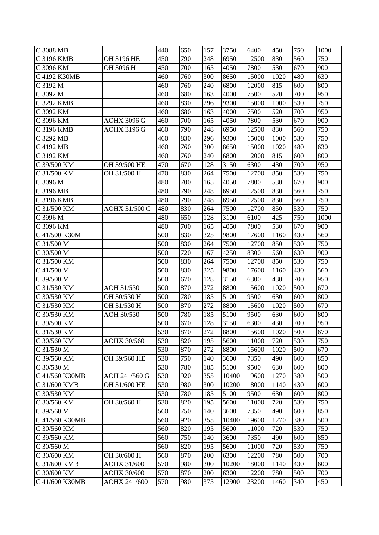| C 3088 MB                |                    | 440 | 650 | 157 | 3750  | 6400  | 450  | 750 | 1000 |
|--------------------------|--------------------|-----|-----|-----|-------|-------|------|-----|------|
| C 3196 KMB               | OH 3196 HE         | 450 | 790 | 248 | 6950  | 12500 | 830  | 560 | 750  |
| C 3096 KM                | OH 3096 H          | 450 | 700 | 165 | 4050  | 7800  | 530  | 670 | 900  |
| C 4192 K30MB             |                    | 460 | 760 | 300 | 8650  | 15000 | 1020 | 480 | 630  |
| C 3192 M                 |                    | 460 | 760 | 240 | 6800  | 12000 | 815  | 600 | 800  |
| C 3092 M                 |                    | 460 | 680 | 163 | 4000  | 7500  | 520  | 700 | 950  |
| C 3292 KMB               |                    | 460 | 830 | 296 | 9300  | 15000 | 1000 | 530 | 750  |
| C 3092 KM                |                    | 460 | 680 | 163 | 4000  | 7500  | 520  | 700 | 950  |
| C 3096 KM                | <b>AOHX 3096 G</b> | 460 | 700 | 165 | 4050  | 7800  | 530  | 670 | 900  |
| C 3196 KMB               | <b>AOHX 3196 G</b> | 460 | 790 | 248 | 6950  | 12500 | 830  | 560 | 750  |
| C 3292 MB                |                    | 460 | 830 | 296 | 9300  | 15000 | 1000 | 530 | 750  |
| $C$ 4192 MB              |                    | 460 | 760 | 300 | 8650  | 15000 | 1020 | 480 | 630  |
| C 3192 KM                |                    | 460 | 760 | 240 | 6800  | 12000 | 815  | 600 | 800  |
| C 39/500 KM              | OH 39/500 HE       | 470 | 670 | 128 | 3150  | 6300  | 430  | 700 | 950  |
| C 31/500 KM              | OH 31/500 H        | 470 | 830 | 264 | 7500  | 12700 | 850  | 530 | 750  |
| C 3096 M                 |                    | 480 | 700 | 165 | 4050  | 7800  | 530  | 670 | 900  |
| C 3196 MB                |                    | 480 | 790 | 248 | 6950  | 12500 | 830  | 560 | 750  |
| C 3196 KMB               |                    | 480 | 790 | 248 | 6950  | 12500 | 830  | 560 | 750  |
| C 31/500 KM              | AOHX 31/500 G      | 480 | 830 | 264 | 7500  | 12700 | 850  | 530 | 750  |
| C 3996 M                 |                    | 480 | 650 | 128 | 3100  | 6100  | 425  | 750 | 1000 |
| C 3096 KM                |                    | 480 | 700 | 165 | 4050  | 7800  | 530  | 670 | 900  |
| C 41/500 K30M            |                    | 500 | 830 | 325 | 9800  | 17600 | 1160 | 430 | 560  |
| $C$ 31/500 M             |                    | 500 | 830 | 264 | 7500  | 12700 | 850  | 530 | 750  |
| $C$ 30/500 M             |                    | 500 | 720 | 167 | 4250  | 8300  | 560  | 630 | 900  |
| C 31/500 KM              |                    | 500 | 830 | 264 | 7500  | 12700 | 850  | 530 | 750  |
| $C$ 41/500 M             |                    | 500 | 830 | 325 | 9800  | 17600 | 1160 | 430 | 560  |
| C 39/500 M               |                    | 500 | 670 | 128 | 3150  | 6300  | 430  | 700 | 950  |
| C 31/530 KM              | AOH 31/530         | 500 | 870 | 272 | 8800  | 15600 | 1020 | 500 | 670  |
| $C$ 30/530 KM            | OH 30/530 H        | 500 | 780 | 185 | 5100  | 9500  | 630  | 600 | 800  |
| C 31/530 KM              | OH 31/530 H        | 500 | 870 | 272 | 8800  | 15600 | 1020 | 500 | 670  |
| C 30/530 KM              | AOH 30/530         | 500 | 780 | 185 | 5100  | 9500  | 630  | 600 | 800  |
| $\overline{C}$ 39/500 KM |                    | 500 | 670 | 128 | 3150  | 6300  | 430  | 700 | 950  |
| C 31/530 KM              |                    | 530 | 870 | 272 | 8800  | 15600 | 1020 | 500 | 670  |
| C 30/560 KM              | <b>AOHX 30/560</b> | 530 | 820 | 195 | 5600  | 11000 | 720  | 530 | 750  |
| C 31/530 M               |                    | 530 | 870 | 272 | 8800  | 15600 | 1020 | 500 | 670  |
| C 39/560 KM              | OH 39/560 HE       | 530 | 750 | 140 | 3600  | 7350  | 490  | 600 | 850  |
| C 30/530 M               |                    | 530 | 780 | 185 | 5100  | 9500  | 630  | 600 | 800  |
| C 41/560 K30MB           | AOH 241/560 G      | 530 | 920 | 355 | 10400 | 19600 | 1270 | 380 | 500  |
| C 31/600 KMB             | OH 31/600 HE       | 530 | 980 | 300 | 10200 | 18000 | 1140 | 430 | 600  |
| C 30/530 KM              |                    | 530 | 780 | 185 | 5100  | 9500  | 630  | 600 | 800  |
| C 30/560 KM              | OH 30/560 H        | 530 | 820 | 195 | 5600  | 11000 | 720  | 530 | 750  |
| C 39/560 M               |                    | 560 | 750 | 140 | 3600  | 7350  | 490  | 600 | 850  |
| C 41/560 K30MB           |                    | 560 | 920 | 355 | 10400 | 19600 | 1270 | 380 | 500  |
| C 30/560 KM              |                    | 560 | 820 | 195 | 5600  | 11000 | 720  | 530 | 750  |
| C 39/560 KM              |                    | 560 | 750 | 140 | 3600  | 7350  | 490  | 600 | 850  |
| C 30/560 M               |                    | 560 | 820 | 195 | 5600  | 11000 | 720  | 530 | 750  |
| C 30/600 KM              | OH 30/600 H        | 560 | 870 | 200 | 6300  | 12200 | 780  | 500 | 700  |
| C 31/600 KMB             | AOHX 31/600        | 570 | 980 | 300 | 10200 | 18000 | 1140 | 430 | 600  |
| C 30/600 KM              | AOHX 30/600        | 570 | 870 | 200 | 6300  | 12200 | 780  | 500 | 700  |
| C 41/600 K30MB           | AOHX 241/600       | 570 | 980 | 375 | 12900 | 23200 | 1460 | 340 | 450  |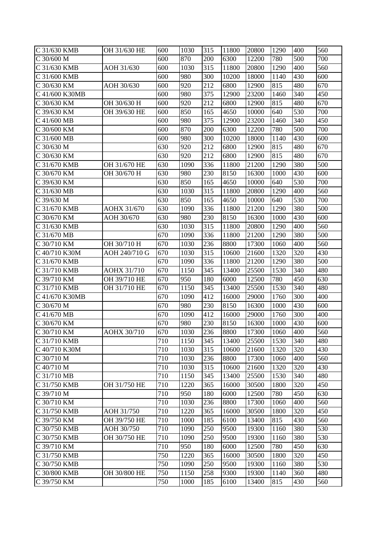| C 31/630 KMB              | OH 31/630 HE       | 600 | 1030 | 315 | 11800 | 20800 | 1290 | 400              | 560 |
|---------------------------|--------------------|-----|------|-----|-------|-------|------|------------------|-----|
| C 30/600 M                |                    | 600 | 870  | 200 | 6300  | 12200 | 780  | 500              | 700 |
| $\overline{C}$ 31/630 KMB | AOH 31/630         | 600 | 1030 | 315 | 11800 | 20800 | 1290 | 400              | 560 |
| C 31/600 KMB              |                    | 600 | 980  | 300 | 10200 | 18000 | 1140 | 430              | 600 |
| C 30/630 KM               | AOH 30/630         | 600 | 920  | 212 | 6800  | 12900 | 815  | 480              | 670 |
| C 41/600 K30MB            |                    | 600 | 980  | 375 | 12900 | 23200 | 1460 | 340              | 450 |
| C 30/630 KM               | OH 30/630 H        | 600 | 920  | 212 | 6800  | 12900 | 815  | 480              | 670 |
| C 39/630 KM               | OH 39/630 HE       | 600 | 850  | 165 | 4650  | 10000 | 640  | 530              | 700 |
| C 41/600 MB               |                    | 600 | 980  | 375 | 12900 | 23200 | 1460 | 340              | 450 |
| C 30/600 KM               |                    | 600 | 870  | 200 | 6300  | 12200 | 780  | 500              | 700 |
| $C$ 31/600 MB             |                    | 600 | 980  | 300 | 10200 | 18000 | 1140 | 430              | 600 |
| C 30/630 M                |                    | 630 | 920  | 212 | 6800  | 12900 | 815  | 480              | 670 |
| $C$ 30/630 KM             |                    | 630 | 920  | 212 | 6800  | 12900 | 815  | 480              | 670 |
| C 31/670 KMB              | OH 31/670 HE       | 630 | 1090 | 336 | 11800 | 21200 | 1290 | 380              | 500 |
| C 30/670 KM               | OH 30/670 H        | 630 | 980  | 230 | 8150  | 16300 | 1000 | 430              | 600 |
| C 39/630 KM               |                    | 630 | 850  | 165 | 4650  | 10000 | 640  | 530              | 700 |
| C 31/630 MB               |                    | 630 | 1030 | 315 | 11800 | 20800 | 1290 | 400              | 560 |
| C 39/630 M                |                    | 630 | 850  | 165 | 4650  | 10000 | 640  | 530              | 700 |
| C 31/670 KMB              | AOHX 31/670        | 630 | 1090 | 336 | 11800 | 21200 | 1290 | 380              | 500 |
| C 30/670 KM               | AOH 30/670         | 630 | 980  | 230 | 8150  | 16300 | 1000 | 430              | 600 |
| C 31/630 KMB              |                    | 630 | 1030 | 315 | 11800 | 20800 | 1290 | 400              | 560 |
| C 31/670 MB               |                    | 670 | 1090 | 336 | 11800 | 21200 | 1290 | 380              | 500 |
| C 30/710 KM               | OH 30/710 H        | 670 | 1030 | 236 | 8800  | 17300 | 1060 | 400              | 560 |
| C 40/710 K30M             | AOH 240/710 G      | 670 | 1030 | 315 | 10600 | 21600 | 1320 | 320              | 430 |
| C 31/670 KMB              |                    | 670 | 1090 | 336 | 11800 | 21200 | 1290 | 380              | 500 |
| C 31/710 KMB              | <b>AOHX 31/710</b> | 670 | 1150 | 345 | 13400 | 25500 | 1530 | 340              | 480 |
| C 39/710 KM               | OH 39/710 HE       | 670 | 950  | 180 | 6000  | 12500 | 780  | 450              | 630 |
| C 31/710 KMB              | OH 31/710 HE       | 670 | 1150 | 345 | 13400 | 25500 | 1530 | 340              | 480 |
| C 41/670 K30MB            |                    | 670 | 1090 | 412 | 16000 | 29000 | 1760 | 300              | 400 |
| C 30/670 M                |                    | 670 | 980  | 230 | 8150  | 16300 | 1000 | 430              | 600 |
| C 41/670 MB               |                    | 670 | 1090 | 412 | 16000 | 29000 | 1760 | 300              | 400 |
| C 30/670 KM               |                    | 670 | 980  | 230 | 8150  | 16300 | 1000 | 430              | 600 |
| C 30/710 KM               | AOHX 30/710        | 670 | 1030 | 236 | 8800  | 17300 | 1060 | $\overline{400}$ | 560 |
| C 31/710 KMB              |                    | 710 | 1150 | 345 | 13400 | 25500 | 1530 | 340              | 480 |
| C 40/710 K30M             |                    | 710 | 1030 | 315 | 10600 | 21600 | 1320 | 320              | 430 |
| C 30/710 M                |                    | 710 | 1030 | 236 | 8800  | 17300 | 1060 | 400              | 560 |
| C 40/710 M                |                    | 710 | 1030 | 315 | 10600 | 21600 | 1320 | 320              | 430 |
| C 31/710 MB               |                    | 710 | 1150 | 345 | 13400 | 25500 | 1530 | 340              | 480 |
| C 31/750 KMB              | OH 31/750 HE       | 710 | 1220 | 365 | 16000 | 30500 | 1800 | 320              | 450 |
| C 39/710 M                |                    | 710 | 950  | 180 | 6000  | 12500 | 780  | 450              | 630 |
| C 30/710 KM               |                    | 710 | 1030 | 236 | 8800  | 17300 | 1060 | 400              | 560 |
| C 31/750 KMB              | AOH 31/750         | 710 | 1220 | 365 | 16000 | 30500 | 1800 | 320              | 450 |
| C 39/750 KM               | OH 39/750 HE       | 710 | 1000 | 185 | 6100  | 13400 | 815  | 430              | 560 |
| C 30/750 KMB              | AOH 30/750         | 710 | 1090 | 250 | 9500  | 19300 | 1160 | 380              | 530 |
| C 30/750 KMB              | OH 30/750 HE       | 710 | 1090 | 250 | 9500  | 19300 | 1160 | 380              | 530 |
| C 39/710 KM               |                    | 710 | 950  | 180 | 6000  | 12500 | 780  | 450              | 630 |
| C 31/750 KMB              |                    | 750 | 1220 | 365 | 16000 | 30500 | 1800 | 320              | 450 |
| C 30/750 KMB              |                    | 750 | 1090 | 250 | 9500  | 19300 | 1160 | 380              | 530 |
| C 30/800 KMB              | OH 30/800 HE       | 750 | 1150 | 258 | 9300  | 19300 | 1140 | 360              | 480 |
| C 39/750 KM               |                    | 750 | 1000 | 185 | 6100  | 13400 | 815  | 430              | 560 |